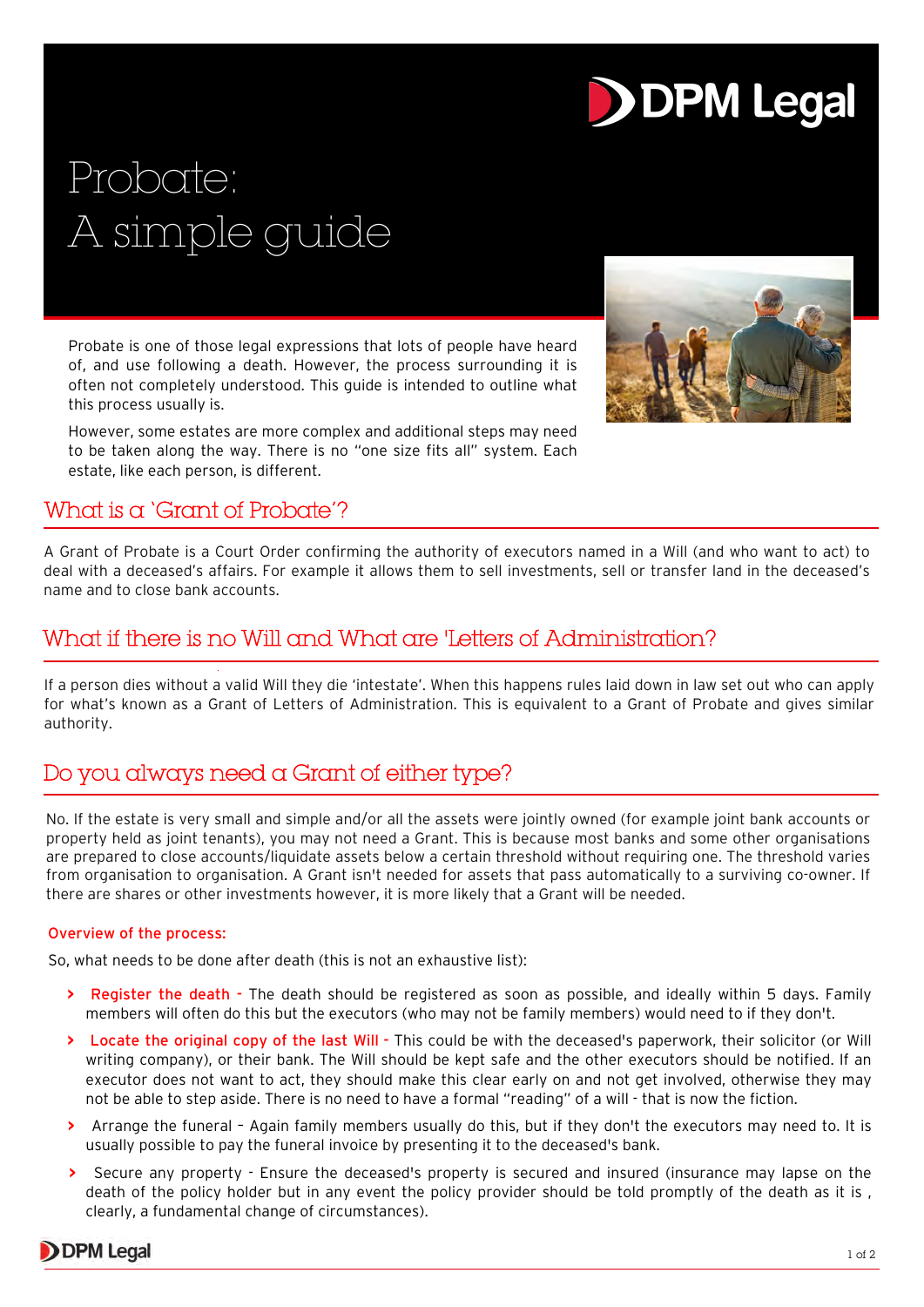# **DDPM Legal**

# Probate: A simple guide

Probate is one of those legal expressions that lots of people have heard of, and use following a death. However, the process surrounding it is often not completely understood. This guide is intended to outline what this process usually is.

However, some estates are more complex and additional steps may need to be taken along the way. There is no "one size fits all" system. Each estate, like each person, is different.



## What is a 'Grant of Probate'?

A Grant of Probate is a Court Order confirming the authority of executors named in a Will (and who want to act) to deal with a deceased's affairs. For example it allows them to sell investments, sell or transfer land in the deceased's name and to close bank accounts.

# What if there is no Will and What are 'Letters of Administration?

If a person dies without a valid Will they die 'intestate'. When this happens rules laid down in law set out who can apply for what's known as a Grant of Letters of Administration. This is equivalent to a Grant of Probate and gives similar authority.

# Do you always need a Grant of either type?

No. If the estate is very small and simple and/or all the assets were jointly owned (for example joint bank accounts or property held as joint tenants), you may not need a Grant. This is because most banks and some other organisations are prepared to close accounts/liquidate assets below a certain threshold without requiring one. The threshold varies from organisation to organisation. A Grant isn't needed for assets that pass automatically to a surviving co-owner. If there are shares or other investments however, it is more likely that a Grant will be needed.

#### Overview of the process:

So, what needs to be done after death (this is not an exhaustive list):

- **>** Register the death The death should be registered as soon as possible, and ideally within 5 days. Family members will often do this but the executors (who may not be family members) would need to if they don't.
- **>** Locate the original copy of the last Will This could be with the deceased's paperwork, their solicitor (or Will writing company), or their bank. The Will should be kept safe and the other executors should be notified. If an executor does not want to act, they should make this clear early on and not get involved, otherwise they may not be able to step aside. There is no need to have a formal "reading" of a will - that is now the fiction.
- **>** Arrange the funeral Again family members usually do this, but if they don't the executors may need to. It is usually possible to pay the funeral invoice by presenting it to the deceased's bank.
- **>** Secure any property Ensure the deceased's property is secured and insured (insurance may lapse on the death of the policy holder but in any event the policy provider should be told promptly of the death as it is , clearly, a fundamental change of circumstances).